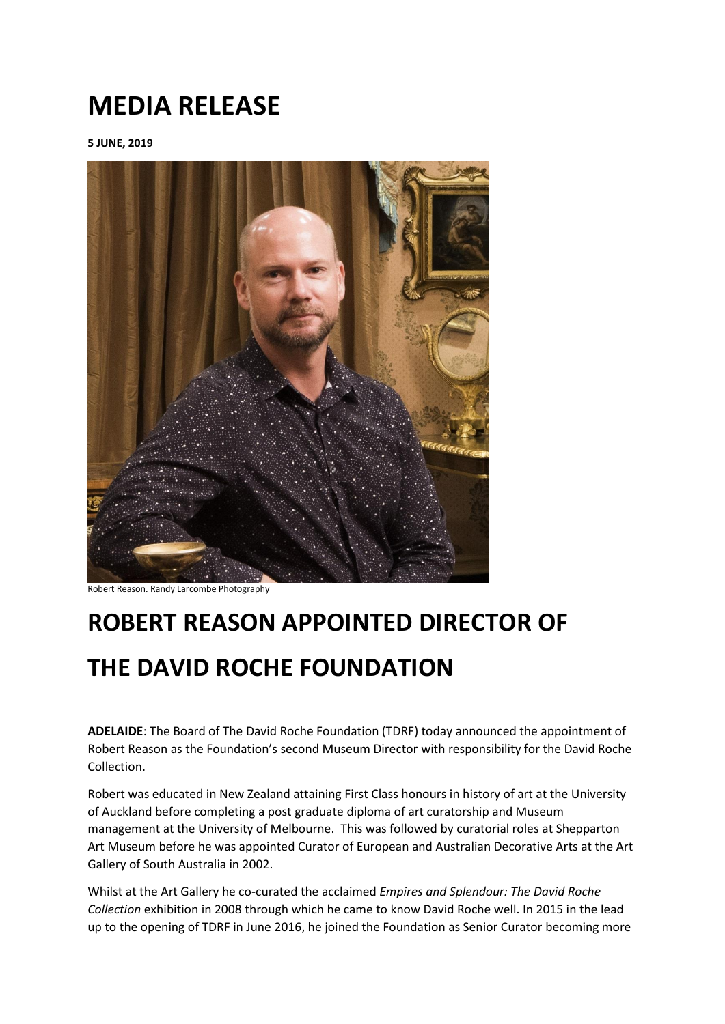## **MEDIA RELEASE**

**5 JUNE, 2019**



Robert Reason. Randy Larcombe Photography

## **ROBERT REASON APPOINTED DIRECTOR OF**

## **THE DAVID ROCHE FOUNDATION**

**ADELAIDE**: The Board of The David Roche Foundation (TDRF) today announced the appointment of Robert Reason as the Foundation's second Museum Director with responsibility for the David Roche Collection.

Robert was educated in New Zealand attaining First Class honours in history of art at the University of Auckland before completing a post graduate diploma of art curatorship and Museum management at the University of Melbourne. This was followed by curatorial roles at Shepparton Art Museum before he was appointed Curator of European and Australian Decorative Arts at the Art Gallery of South Australia in 2002.

Whilst at the Art Gallery he co-curated the acclaimed *Empires and Splendour: The David Roche Collection* exhibition in 2008 through which he came to know David Roche well. In 2015 in the lead up to the opening of TDRF in June 2016, he joined the Foundation as Senior Curator becoming more